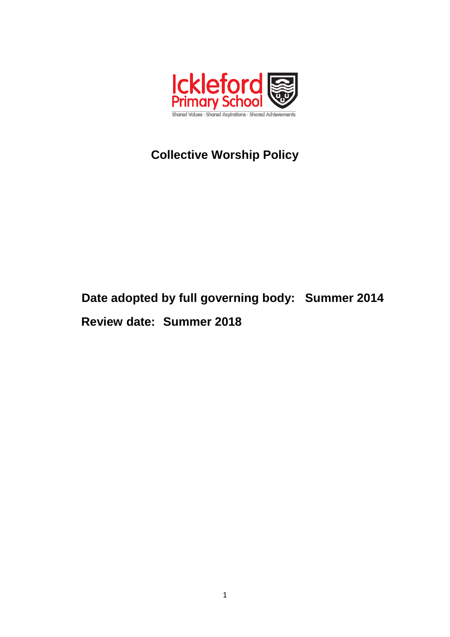

# **Collective Worship Policy**

# **Date adopted by full governing body: Summer 2014 Review date: Summer 2018**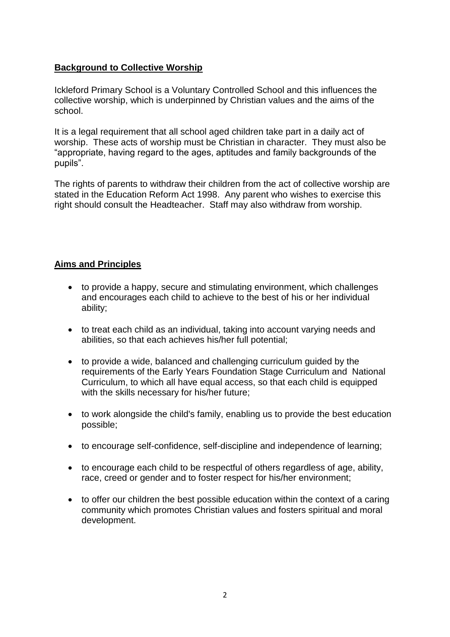#### **Background to Collective Worship**

Ickleford Primary School is a Voluntary Controlled School and this influences the collective worship, which is underpinned by Christian values and the aims of the school.

It is a legal requirement that all school aged children take part in a daily act of worship. These acts of worship must be Christian in character. They must also be "appropriate, having regard to the ages, aptitudes and family backgrounds of the pupils".

The rights of parents to withdraw their children from the act of collective worship are stated in the Education Reform Act 1998. Any parent who wishes to exercise this right should consult the Headteacher. Staff may also withdraw from worship.

#### **Aims and Principles**

- to provide a happy, secure and stimulating environment, which challenges and encourages each child to achieve to the best of his or her individual ability;
- to treat each child as an individual, taking into account varying needs and abilities, so that each achieves his/her full potential;
- to provide a wide, balanced and challenging curriculum guided by the requirements of the Early Years Foundation Stage Curriculum and National Curriculum, to which all have equal access, so that each child is equipped with the skills necessary for his/her future;
- to work alongside the child's family, enabling us to provide the best education possible;
- to encourage self-confidence, self-discipline and independence of learning;
- to encourage each child to be respectful of others regardless of age, ability, race, creed or gender and to foster respect for his/her environment;
- to offer our children the best possible education within the context of a caring community which promotes Christian values and fosters spiritual and moral development.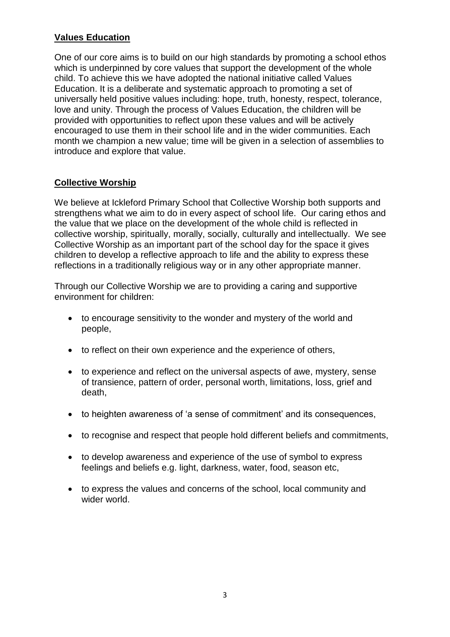#### **Values Education**

One of our core aims is to build on our high standards by promoting a school ethos which is underpinned by core values that support the development of the whole child. To achieve this we have adopted the national initiative called Values Education. It is a deliberate and systematic approach to promoting a set of universally held positive values including: hope, truth, honesty, respect, tolerance, love and unity. Through the process of Values Education, the children will be provided with opportunities to reflect upon these values and will be actively encouraged to use them in their school life and in the wider communities. Each month we champion a new value; time will be given in a selection of assemblies to introduce and explore that value.

#### **Collective Worship**

We believe at Ickleford Primary School that Collective Worship both supports and strengthens what we aim to do in every aspect of school life. Our caring ethos and the value that we place on the development of the whole child is reflected in collective worship, spiritually, morally, socially, culturally and intellectually. We see Collective Worship as an important part of the school day for the space it gives children to develop a reflective approach to life and the ability to express these reflections in a traditionally religious way or in any other appropriate manner.

Through our Collective Worship we are to providing a caring and supportive environment for children:

- to encourage sensitivity to the wonder and mystery of the world and people,
- to reflect on their own experience and the experience of others,
- to experience and reflect on the universal aspects of awe, mystery, sense of transience, pattern of order, personal worth, limitations, loss, grief and death,
- to heighten awareness of 'a sense of commitment' and its consequences,
- to recognise and respect that people hold different beliefs and commitments,
- to develop awareness and experience of the use of symbol to express feelings and beliefs e.g. light, darkness, water, food, season etc,
- to express the values and concerns of the school, local community and wider world.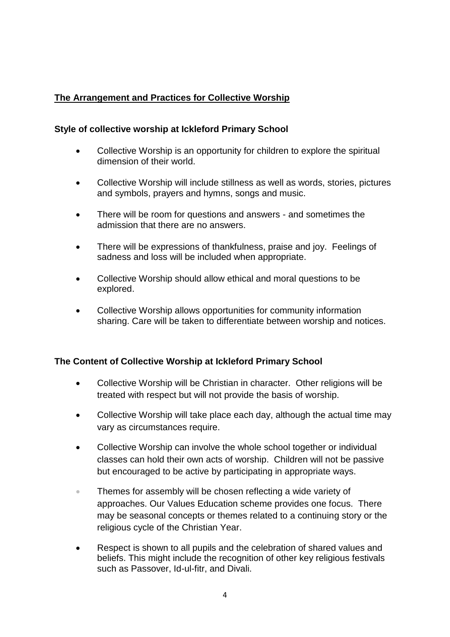## **The Arrangement and Practices for Collective Worship**

#### **Style of collective worship at Ickleford Primary School**

- Collective Worship is an opportunity for children to explore the spiritual dimension of their world.
- Collective Worship will include stillness as well as words, stories, pictures and symbols, prayers and hymns, songs and music.
- There will be room for questions and answers and sometimes the admission that there are no answers.
- There will be expressions of thankfulness, praise and joy. Feelings of sadness and loss will be included when appropriate.
- Collective Worship should allow ethical and moral questions to be explored.
- Collective Worship allows opportunities for community information sharing. Care will be taken to differentiate between worship and notices.

#### **The Content of Collective Worship at Ickleford Primary School**

- Collective Worship will be Christian in character. Other religions will be treated with respect but will not provide the basis of worship.
- Collective Worship will take place each day, although the actual time may vary as circumstances require.
- Collective Worship can involve the whole school together or individual classes can hold their own acts of worship. Children will not be passive but encouraged to be active by participating in appropriate ways.
- **Themes for assembly will be chosen reflecting a wide variety of** approaches. Our Values Education scheme provides one focus. There may be seasonal concepts or themes related to a continuing story or the religious cycle of the Christian Year.
- Respect is shown to all pupils and the celebration of shared values and beliefs. This might include the recognition of other key religious festivals such as Passover, Id-ul-fitr, and Divali.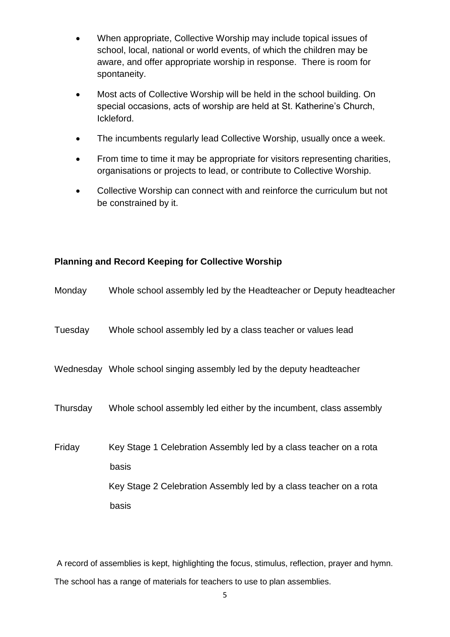- When appropriate, Collective Worship may include topical issues of school, local, national or world events, of which the children may be aware, and offer appropriate worship in response. There is room for spontaneity.
- Most acts of Collective Worship will be held in the school building. On special occasions, acts of worship are held at St. Katherine's Church, Ickleford.
- The incumbents regularly lead Collective Worship, usually once a week.
- From time to time it may be appropriate for visitors representing charities, organisations or projects to lead, or contribute to Collective Worship.
- Collective Worship can connect with and reinforce the curriculum but not be constrained by it.

#### **Planning and Record Keeping for Collective Worship**

| Monday   | Whole school assembly led by the Headteacher or Deputy headteacher         |
|----------|----------------------------------------------------------------------------|
| Tuesday  | Whole school assembly led by a class teacher or values lead                |
|          | Wednesday Whole school singing assembly led by the deputy headteacher      |
| Thursday | Whole school assembly led either by the incumbent, class assembly          |
| Friday   | Key Stage 1 Celebration Assembly led by a class teacher on a rota<br>basis |
|          | Key Stage 2 Celebration Assembly led by a class teacher on a rota          |
|          | basis                                                                      |

A record of assemblies is kept, highlighting the focus, stimulus, reflection, prayer and hymn. The school has a range of materials for teachers to use to plan assemblies.